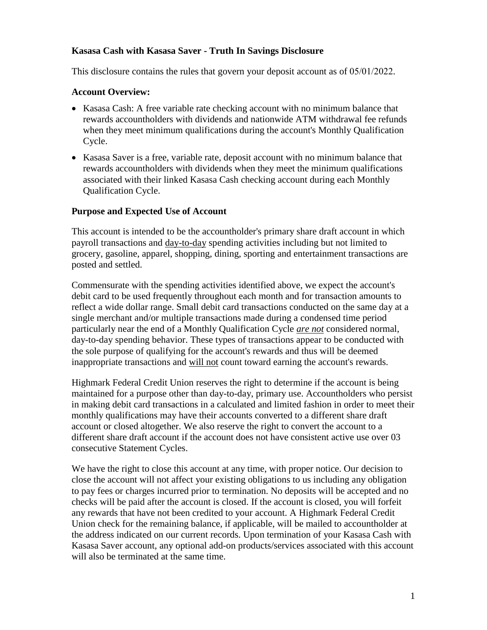### **Kasasa Cash with Kasasa Saver - Truth In Savings Disclosure**

This disclosure contains the rules that govern your deposit account as of 05/01/2022.

#### **Account Overview:**

- Kasasa Cash: A free variable rate checking account with no minimum balance that rewards accountholders with dividends and nationwide ATM withdrawal fee refunds when they meet minimum qualifications during the account's Monthly Qualification Cycle.
- Kasasa Saver is a free, variable rate, deposit account with no minimum balance that rewards accountholders with dividends when they meet the minimum qualifications associated with their linked Kasasa Cash checking account during each Monthly Qualification Cycle.

#### **Purpose and Expected Use of Account**

This account is intended to be the accountholder's primary share draft account in which payroll transactions and day-to-day spending activities including but not limited to grocery, gasoline, apparel, shopping, dining, sporting and entertainment transactions are posted and settled.

Commensurate with the spending activities identified above, we expect the account's debit card to be used frequently throughout each month and for transaction amounts to reflect a wide dollar range. Small debit card transactions conducted on the same day at a single merchant and/or multiple transactions made during a condensed time period particularly near the end of a Monthly Qualification Cycle *are not* considered normal, day-to-day spending behavior. These types of transactions appear to be conducted with the sole purpose of qualifying for the account's rewards and thus will be deemed inappropriate transactions and will not count toward earning the account's rewards.

Highmark Federal Credit Union reserves the right to determine if the account is being maintained for a purpose other than day-to-day, primary use. Accountholders who persist in making debit card transactions in a calculated and limited fashion in order to meet their monthly qualifications may have their accounts converted to a different share draft account or closed altogether. We also reserve the right to convert the account to a different share draft account if the account does not have consistent active use over 03 consecutive Statement Cycles.

We have the right to close this account at any time, with proper notice. Our decision to close the account will not affect your existing obligations to us including any obligation to pay fees or charges incurred prior to termination. No deposits will be accepted and no checks will be paid after the account is closed. If the account is closed, you will forfeit any rewards that have not been credited to your account. A Highmark Federal Credit Union check for the remaining balance, if applicable, will be mailed to accountholder at the address indicated on our current records. Upon termination of your Kasasa Cash with Kasasa Saver account, any optional add-on products/services associated with this account will also be terminated at the same time.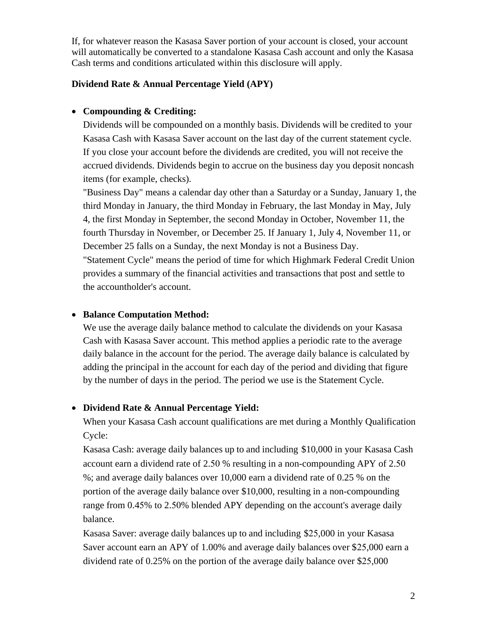If, for whatever reason the Kasasa Saver portion of your account is closed, your account will automatically be converted to a standalone Kasasa Cash account and only the Kasasa Cash terms and conditions articulated within this disclosure will apply.

### **Dividend Rate & Annual Percentage Yield (APY)**

### • **Compounding & Crediting:**

Dividends will be compounded on a monthly basis. Dividends will be credited to your Kasasa Cash with Kasasa Saver account on the last day of the current statement cycle. If you close your account before the dividends are credited, you will not receive the accrued dividends. Dividends begin to accrue on the business day you deposit noncash items (for example, checks).

"Business Day" means a calendar day other than a Saturday or a Sunday, January 1, the third Monday in January, the third Monday in February, the last Monday in May, July 4, the first Monday in September, the second Monday in October, November 11, the fourth Thursday in November, or December 25. If January 1, July 4, November 11, or December 25 falls on a Sunday, the next Monday is not a Business Day. "Statement Cycle" means the period of time for which Highmark Federal Credit Union provides a summary of the financial activities and transactions that post and settle to the accountholder's account.

### • **Balance Computation Method:**

We use the average daily balance method to calculate the dividends on your Kasasa Cash with Kasasa Saver account. This method applies a periodic rate to the average daily balance in the account for the period. The average daily balance is calculated by adding the principal in the account for each day of the period and dividing that figure by the number of days in the period. The period we use is the Statement Cycle.

# • **Dividend Rate & Annual Percentage Yield:**

When your Kasasa Cash account qualifications are met during a Monthly Qualification Cycle:

Kasasa Cash: average daily balances up to and including \$10,000 in your Kasasa Cash account earn a dividend rate of 2.50 % resulting in a non-compounding APY of 2.50 %; and average daily balances over 10,000 earn a dividend rate of 0.25 % on the portion of the average daily balance over \$10,000, resulting in a non-compounding range from 0.45% to 2.50% blended APY depending on the account's average daily balance.

Kasasa Saver: average daily balances up to and including \$25,000 in your Kasasa Saver account earn an APY of 1.00% and average daily balances over \$25,000 earn a dividend rate of 0.25% on the portion of the average daily balance over \$25,000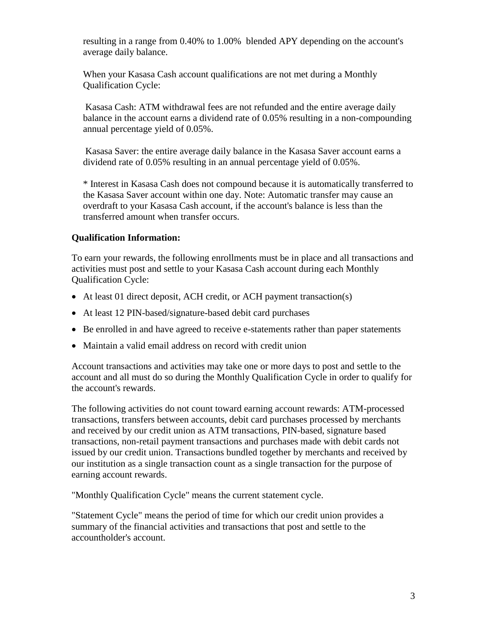resulting in a range from 0.40% to 1.00% blended APY depending on the account's average daily balance.

When your Kasasa Cash account qualifications are not met during a Monthly Qualification Cycle:

 Kasasa Cash: ATM withdrawal fees are not refunded and the entire average daily balance in the account earns a dividend rate of 0.05% resulting in a non-compounding annual percentage yield of 0.05%.

 Kasasa Saver: the entire average daily balance in the Kasasa Saver account earns a dividend rate of 0.05% resulting in an annual percentage yield of 0.05%.

\* Interest in Kasasa Cash does not compound because it is automatically transferred to the Kasasa Saver account within one day. Note: Automatic transfer may cause an overdraft to your Kasasa Cash account, if the account's balance is less than the transferred amount when transfer occurs.

# **Qualification Information:**

To earn your rewards, the following enrollments must be in place and all transactions and activities must post and settle to your Kasasa Cash account during each Monthly Qualification Cycle:

- At least 01 direct deposit, ACH credit, or ACH payment transaction(s)
- At least 12 PIN-based/signature-based debit card purchases
- Be enrolled in and have agreed to receive e-statements rather than paper statements
- Maintain a valid email address on record with credit union

Account transactions and activities may take one or more days to post and settle to the account and all must do so during the Monthly Qualification Cycle in order to qualify for the account's rewards.

The following activities do not count toward earning account rewards: ATM-processed transactions, transfers between accounts, debit card purchases processed by merchants and received by our credit union as ATM transactions, PIN-based, signature based transactions, non-retail payment transactions and purchases made with debit cards not issued by our credit union. Transactions bundled together by merchants and received by our institution as a single transaction count as a single transaction for the purpose of earning account rewards.

"Monthly Qualification Cycle" means the current statement cycle.

"Statement Cycle" means the period of time for which our credit union provides a summary of the financial activities and transactions that post and settle to the accountholder's account.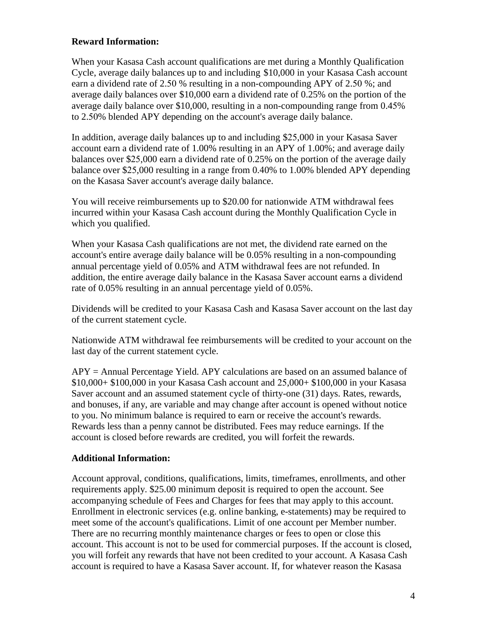# **Reward Information:**

When your Kasasa Cash account qualifications are met during a Monthly Qualification Cycle, average daily balances up to and including \$10,000 in your Kasasa Cash account earn a dividend rate of 2.50 % resulting in a non-compounding APY of 2.50 %; and average daily balances over \$10,000 earn a dividend rate of 0.25% on the portion of the average daily balance over \$10,000, resulting in a non-compounding range from 0.45% to 2.50% blended APY depending on the account's average daily balance.

In addition, average daily balances up to and including \$25,000 in your Kasasa Saver account earn a dividend rate of 1.00% resulting in an APY of 1.00%; and average daily balances over \$25,000 earn a dividend rate of 0.25% on the portion of the average daily balance over \$25,000 resulting in a range from 0.40% to 1.00% blended APY depending on the Kasasa Saver account's average daily balance.

You will receive reimbursements up to \$20.00 for nationwide ATM withdrawal fees incurred within your Kasasa Cash account during the Monthly Qualification Cycle in which you qualified.

When your Kasasa Cash qualifications are not met, the dividend rate earned on the account's entire average daily balance will be 0.05% resulting in a non-compounding annual percentage yield of 0.05% and ATM withdrawal fees are not refunded. In addition, the entire average daily balance in the Kasasa Saver account earns a dividend rate of 0.05% resulting in an annual percentage yield of 0.05%.

Dividends will be credited to your Kasasa Cash and Kasasa Saver account on the last day of the current statement cycle.

Nationwide ATM withdrawal fee reimbursements will be credited to your account on the last day of the current statement cycle.

 $APY =$  Annual Percentage Yield. APY calculations are based on an assumed balance of \$10,000+ \$100,000 in your Kasasa Cash account and 25,000+ \$100,000 in your Kasasa Saver account and an assumed statement cycle of thirty-one (31) days. Rates, rewards, and bonuses, if any, are variable and may change after account is opened without notice to you. No minimum balance is required to earn or receive the account's rewards. Rewards less than a penny cannot be distributed. Fees may reduce earnings. If the account is closed before rewards are credited, you will forfeit the rewards.

# **Additional Information:**

Account approval, conditions, qualifications, limits, timeframes, enrollments, and other requirements apply. \$25.00 minimum deposit is required to open the account. See accompanying schedule of Fees and Charges for fees that may apply to this account. Enrollment in electronic services (e.g. online banking, e-statements) may be required to meet some of the account's qualifications. Limit of one account per Member number. There are no recurring monthly maintenance charges or fees to open or close this account. This account is not to be used for commercial purposes. If the account is closed, you will forfeit any rewards that have not been credited to your account. A Kasasa Cash account is required to have a Kasasa Saver account. If, for whatever reason the Kasasa